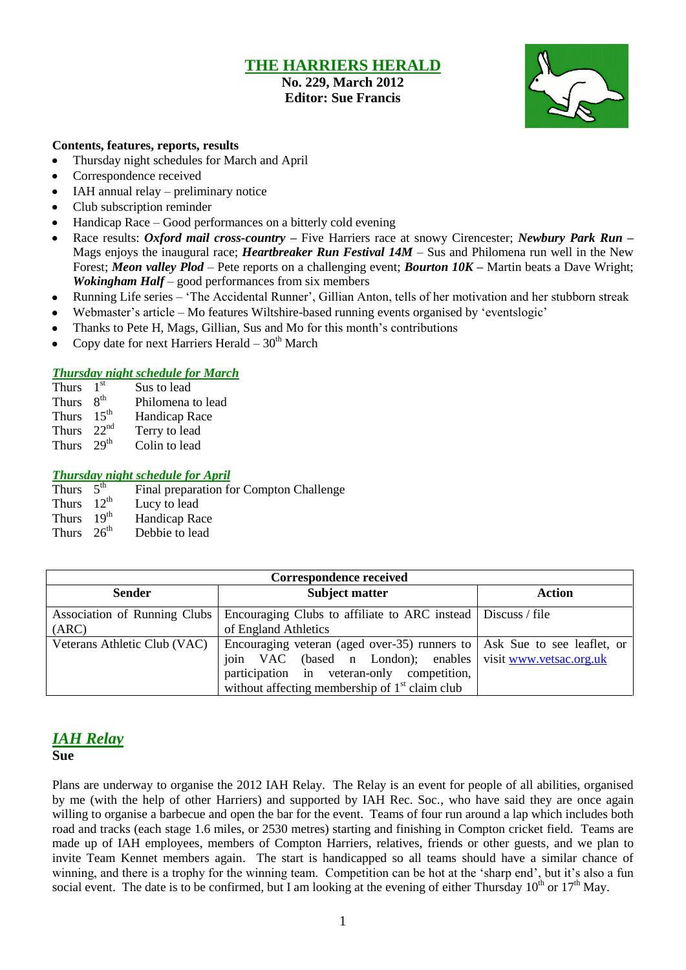## **THE HARRIERS HERALD**

**No. 229, March 2012 Editor: Sue Francis**



### **Contents, features, reports, results**

- Thursday night schedules for March and April
- Correspondence received  $\bullet$
- IAH annual relay preliminary notice  $\bullet$
- Club subscription reminder
- Handicap Race Good performances on a bitterly cold evening  $\bullet$
- Race results: *Oxford mail cross-country –* Five Harriers race at snowy Cirencester; *Newbury Park Run –*  $\bullet$ Mags enjoys the inaugural race; *Heartbreaker Run Festival 14M* – Sus and Philomena run well in the New Forest; *Meon valley Plod* – Pete reports on a challenging event; *Bourton 10K –* Martin beats a Dave Wright; *Wokingham Half* – good performances from six members
- Running Life series 'The Accidental Runner', Gillian Anton, tells of her motivation and her stubborn streak  $\bullet$
- Webmaster's article Mo features Wiltshire-based running events organised by 'eventslogic'  $\bullet$
- Thanks to Pete H, Mags, Gillian, Sus and Mo for this month's contributions
- Copy date for next Harriers Herald  $30<sup>th</sup>$  March  $\bullet$

### *Thursday night schedule for March*

- Thurs  $1<sup>st</sup>$ Sus to lead
- Thurs  $8^{th}$ <br>Thurs  $15^{th}$ Philomena to lead
- Handicap Race
- Thurs 22<sup>nd</sup> Terry to lead
- Thurs  $29<sup>th</sup>$  Colin to lead

### *Thursday night schedule for April*

- Thurs  $5<sup>th</sup>$ Final preparation for Compton Challenge
- Thurs  $12^{th}$ <br>Thurs  $19^{th}$ Lucy to lead
- Handicap Race
- Thurs  $26<sup>th</sup>$  Debbie to lead

| <b>Correspondence received</b> |                                                                            |               |  |  |  |  |
|--------------------------------|----------------------------------------------------------------------------|---------------|--|--|--|--|
| <b>Sender</b>                  | <b>Subject matter</b>                                                      | <b>Action</b> |  |  |  |  |
| Association of Running Clubs   | Encouraging Clubs to affiliate to ARC instead   Discuss / file             |               |  |  |  |  |
| (ARC)                          | of England Athletics                                                       |               |  |  |  |  |
| Veterans Athletic Club (VAC)   | Encouraging veteran (aged over-35) runners to   Ask Sue to see leaflet, or |               |  |  |  |  |
|                                | join VAC (based n London); enables visit www.vetsac.org.uk                 |               |  |  |  |  |
|                                | participation in veteran-only competition,                                 |               |  |  |  |  |
|                                | without affecting membership of $1st$ claim club                           |               |  |  |  |  |

## *IAH Relay*

#### **Sue**

Plans are underway to organise the 2012 IAH Relay. The Relay is an event for people of all abilities, organised by me (with the help of other Harriers) and supported by IAH Rec. Soc., who have said they are once again willing to organise a barbecue and open the bar for the event. Teams of four run around a lap which includes both road and tracks (each stage 1.6 miles, or 2530 metres) starting and finishing in Compton cricket field. Teams are made up of IAH employees, members of Compton Harriers, relatives, friends or other guests, and we plan to invite Team Kennet members again. The start is handicapped so all teams should have a similar chance of winning, and there is a trophy for the winning team. Competition can be hot at the 'sharp end', but it's also a fun social event. The date is to be confirmed, but I am looking at the evening of either Thursday  $10^{th}$  or  $17^{th}$  May.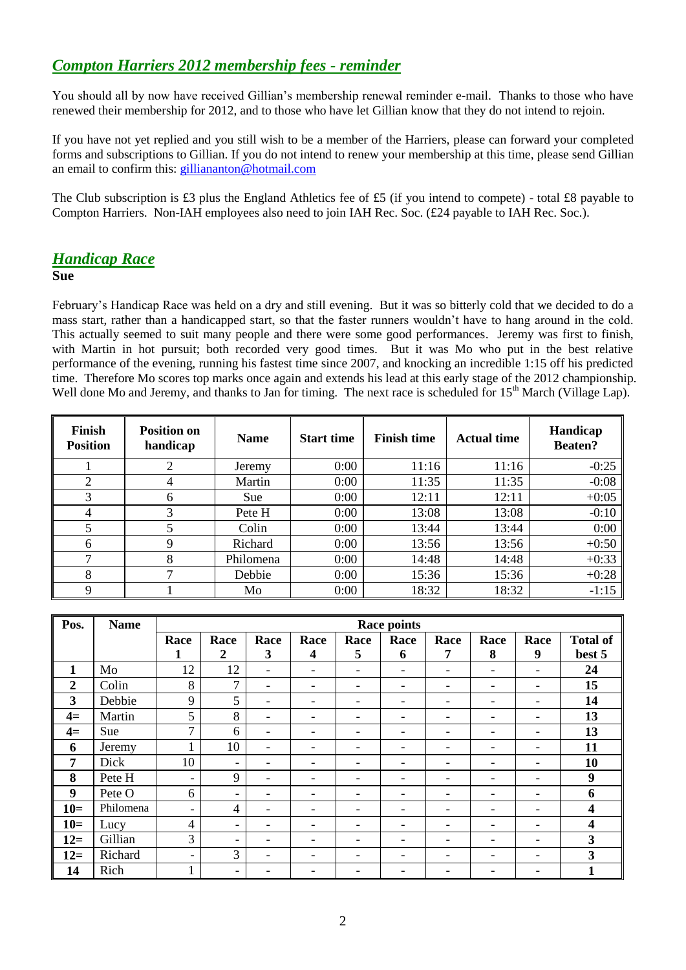# *Compton Harriers 2012 membership fees - reminder*

You should all by now have received Gillian's membership renewal reminder e-mail. Thanks to those who have renewed their membership for 2012, and to those who have let Gillian know that they do not intend to rejoin.

If you have not yet replied and you still wish to be a member of the Harriers, please can forward your completed forms and subscriptions to Gillian. If you do not intend to renew your membership at this time, please send Gillian an email to confirm this: [gilliananton@hotmail.com](mailto:gilliananton@hotmail.com)

The Club subscription is £3 plus the England Athletics fee of £5 (if you intend to compete) - total £8 payable to Compton Harriers. Non-IAH employees also need to join IAH Rec. Soc. (£24 payable to IAH Rec. Soc.).

## *Handicap Race*

**Sue**

February's Handicap Race was held on a dry and still evening. But it was so bitterly cold that we decided to do a mass start, rather than a handicapped start, so that the faster runners wouldn't have to hang around in the cold. This actually seemed to suit many people and there were some good performances. Jeremy was first to finish, with Martin in hot pursuit; both recorded very good times. But it was Mo who put in the best relative performance of the evening, running his fastest time since 2007, and knocking an incredible 1:15 off his predicted time. Therefore Mo scores top marks once again and extends his lead at this early stage of the 2012 championship. Well done Mo and Jeremy, and thanks to Jan for timing. The next race is scheduled for 15<sup>th</sup> March (Village Lap).

| <b>Finish</b><br><b>Position</b> | <b>Position on</b><br>handicap | <b>Name</b> | <b>Finish time</b><br><b>Start time</b> |       | <b>Actual time</b> | Handicap<br><b>Beaten?</b> |  |
|----------------------------------|--------------------------------|-------------|-----------------------------------------|-------|--------------------|----------------------------|--|
|                                  | ∍                              | Jeremy      | 0:00                                    | 11:16 | 11:16              | $-0:25$                    |  |
| 2                                | 4                              | Martin      | 0:00                                    | 11:35 | 11:35              | $-0:08$                    |  |
| 3                                | 6                              | Sue         | 0:00                                    | 12:11 | 12:11              | $+0:05$                    |  |
| 4                                | 3                              | Pete H      | 0:00                                    | 13:08 | 13:08              | $-0:10$                    |  |
| 5                                |                                | Colin       | 0:00                                    | 13:44 | 13:44              | 0:00                       |  |
| 6                                | 9                              | Richard     | 0:00                                    | 13:56 | 13:56              | $+0:50$                    |  |
| ⇁                                | 8                              | Philomena   | 0:00                                    | 14:48 | 14:48              | $+0:33$                    |  |
| 8                                |                                | Debbie      | 0:00                                    | 15:36 | 15:36              | $+0:28$                    |  |
| Q                                |                                | Mo          | 0:00                                    | 18:32 | 18:32              | $-1:15$                    |  |

| Pos.           | <b>Name</b> | Race points    |                          |                          |                          |                          |                          |      |                          |                          |                         |
|----------------|-------------|----------------|--------------------------|--------------------------|--------------------------|--------------------------|--------------------------|------|--------------------------|--------------------------|-------------------------|
|                |             | Race           | Race                     | Race                     | Race                     | Race                     | Race                     | Race | Race                     | Race                     | <b>Total of</b>         |
|                |             | 1              | $\boldsymbol{2}$         | 3                        | 4                        | 5                        | 6                        | 7    | 8                        | 9                        | best 5                  |
| $\mathbf{1}$   | Mo          | 12             | 12                       | $\overline{\phantom{a}}$ | $\overline{\phantom{a}}$ | $\overline{\phantom{a}}$ | $\overline{\phantom{0}}$ |      | $\overline{\phantom{a}}$ | $\overline{\phantom{a}}$ | 24                      |
| $\overline{2}$ | Colin       | 8              | 7                        | $\overline{\phantom{0}}$ | ۰                        | -                        |                          |      |                          |                          | 15                      |
| 3              | Debbie      | 9              | 5                        | $\overline{\phantom{0}}$ | ۰                        | -                        |                          |      |                          | ۰                        | 14                      |
| $4=$           | Martin      | 5              | 8                        | -                        | $\overline{\phantom{0}}$ | -                        | -                        |      | -                        | $\overline{\phantom{a}}$ | 13                      |
| $4=$           | Sue         | 7              | 6                        | -                        | ۰                        | -                        | -                        |      |                          | ٠                        | 13                      |
| 6              | Jeremy      | $\mathbf{1}$   | 10                       | $\overline{\phantom{a}}$ | $\overline{\phantom{0}}$ | ۳                        | -                        |      |                          | $\overline{\phantom{a}}$ | 11                      |
| 7              | Dick        | 10             | $\overline{\phantom{a}}$ | -                        | -                        | -                        | -                        |      | $\overline{\phantom{0}}$ | $\overline{\phantom{a}}$ | 10                      |
| 8              | Pete H      | $\blacksquare$ | 9                        | $\overline{\phantom{0}}$ | -                        | -                        |                          |      |                          | ۰                        | $\boldsymbol{9}$        |
| 9              | Pete O      | 6              | $\overline{\phantom{a}}$ | $\overline{\phantom{0}}$ |                          |                          |                          |      |                          | ۰                        | 6                       |
| $10=$          | Philomena   | $\blacksquare$ | $\overline{4}$           | $\overline{\phantom{0}}$ | ۰                        | -                        |                          |      |                          | ۰                        | 4                       |
| $10=$          | Lucy        | $\overline{4}$ | $\overline{\phantom{0}}$ |                          | -                        | -                        | -                        |      |                          | ۰                        | $\boldsymbol{4}$        |
| $12=$          | Gillian     | 3              | $\overline{\phantom{a}}$ | -                        | $\overline{\phantom{0}}$ | ۰                        |                          |      |                          | $\overline{\phantom{a}}$ | 3                       |
| $12=$          | Richard     | $\blacksquare$ | 3                        | $\overline{\phantom{0}}$ | ۰                        |                          |                          |      |                          | $\overline{\phantom{a}}$ | $\overline{\mathbf{3}}$ |
| 14             | Rich        |                | $\overline{\phantom{0}}$ |                          |                          |                          |                          |      |                          |                          |                         |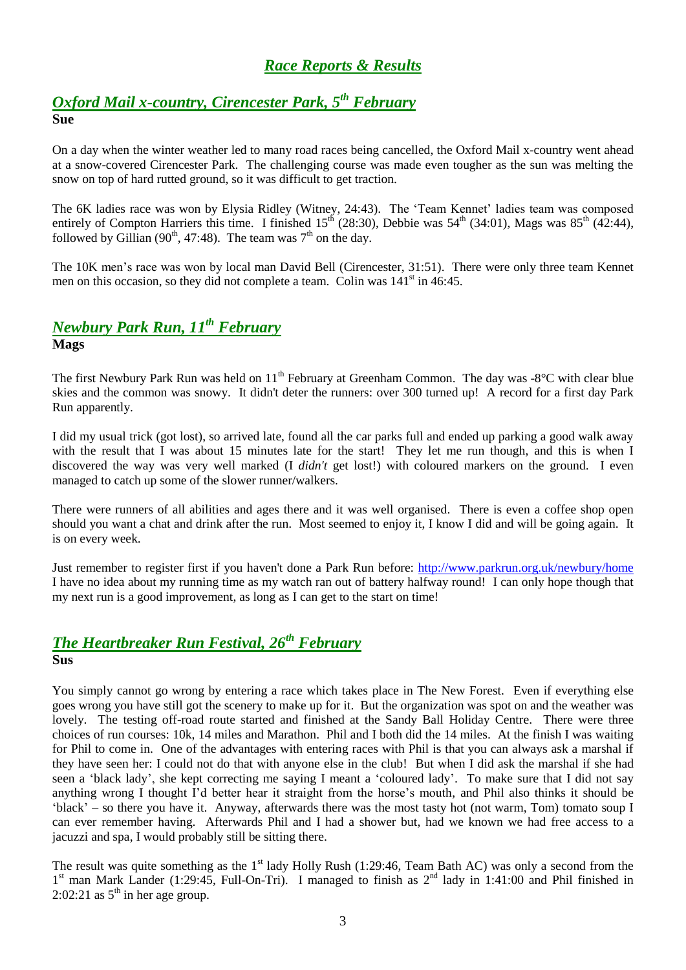# *Race Reports & Results*

## *Oxford Mail x-country, Cirencester Park, 5 th February* **Sue**

On a day when the winter weather led to many road races being cancelled, the Oxford Mail x-country went ahead at a snow-covered Cirencester Park. The challenging course was made even tougher as the sun was melting the snow on top of hard rutted ground, so it was difficult to get traction.

The 6K ladies race was won by Elysia Ridley (Witney, 24:43). The 'Team Kennet' ladies team was composed entirely of Compton Harriers this time. I finished  $15<sup>th</sup>$  (28:30), Debbie was  $54<sup>th</sup>$  (34:01), Mags was  $85<sup>th</sup>$  (42:44), followed by Gillian (90<sup>th</sup>, 47:48). The team was  $7<sup>th</sup>$  on the day.

The 10K men's race was won by local man David Bell (Cirencester, 31:51). There were only three team Kennet men on this occasion, so they did not complete a team. Colin was  $141<sup>st</sup>$  in 46:45.

# *Newbury Park Run, 11th February*

**Mags**

The first Newbury Park Run was held on 11<sup>th</sup> February at Greenham Common. The day was -8°C with clear blue skies and the common was snowy. It didn't deter the runners: over 300 turned up! A record for a first day Park Run apparently.

I did my usual trick (got lost), so arrived late, found all the car parks full and ended up parking a good walk away with the result that I was about 15 minutes late for the start! They let me run though, and this is when I discovered the way was very well marked (I *didn't* get lost!) with coloured markers on the ground. I even managed to catch up some of the slower runner/walkers.

There were runners of all abilities and ages there and it was well organised. There is even a coffee shop open should you want a chat and drink after the run. Most seemed to enjoy it, I know I did and will be going again. It is on every week.

Just remember to register first if you haven't done a Park Run before:<http://www.parkrun.org.uk/newbury/home> I have no idea about my running time as my watch ran out of battery halfway round! I can only hope though that my next run is a good improvement, as long as I can get to the start on time!

## *The Heartbreaker Run Festival, 26th February* **Sus**

You simply cannot go wrong by entering a race which takes place in The New Forest. Even if everything else goes wrong you have still got the scenery to make up for it. But the organization was spot on and the weather was lovely. The testing off-road route started and finished at the Sandy Ball Holiday Centre. There were three choices of run courses: 10k, 14 miles and Marathon. Phil and I both did the 14 miles. At the finish I was waiting for Phil to come in. One of the advantages with entering races with Phil is that you can always ask a marshal if they have seen her: I could not do that with anyone else in the club! But when I did ask the marshal if she had seen a 'black lady', she kept correcting me saying I meant a 'coloured lady'. To make sure that I did not say anything wrong I thought I'd better hear it straight from the horse's mouth, and Phil also thinks it should be 'black' – so there you have it. Anyway, afterwards there was the most tasty hot (not warm, Tom) tomato soup I can ever remember having. Afterwards Phil and I had a shower but, had we known we had free access to a jacuzzi and spa, I would probably still be sitting there.

The result was quite something as the  $1<sup>st</sup>$  lady Holly Rush (1:29:46, Team Bath AC) was only a second from the 1<sup>st</sup> man Mark Lander (1:29:45, Full-On-Tri). I managed to finish as 2<sup>nd</sup> lady in 1:41:00 and Phil finished in 2:02:21 as  $5<sup>th</sup>$  in her age group.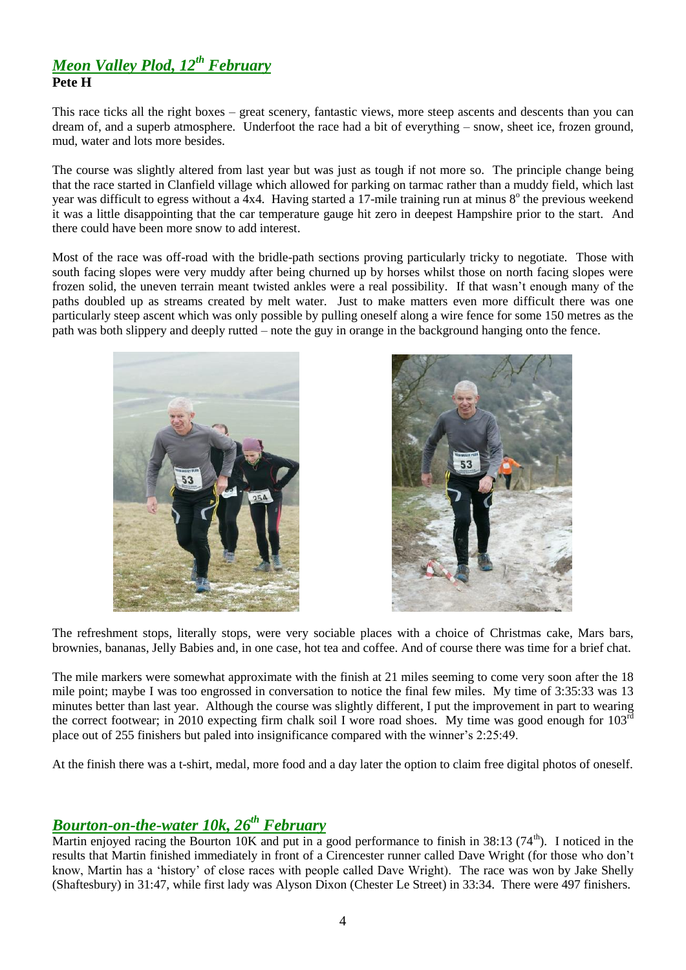## *Meon Valley Plod, 12th February* **Pete H**

This race ticks all the right boxes – great scenery, fantastic views, more steep ascents and descents than you can dream of, and a superb atmosphere. Underfoot the race had a bit of everything – snow, sheet ice, frozen ground, mud, water and lots more besides.

The course was slightly altered from last year but was just as tough if not more so. The principle change being that the race started in Clanfield village which allowed for parking on tarmac rather than a muddy field, which last year was difficult to egress without a 4x4. Having started a 17-mile training run at minus 8° the previous weekend it was a little disappointing that the car temperature gauge hit zero in deepest Hampshire prior to the start. And there could have been more snow to add interest.

Most of the race was off-road with the bridle-path sections proving particularly tricky to negotiate. Those with south facing slopes were very muddy after being churned up by horses whilst those on north facing slopes were frozen solid, the uneven terrain meant twisted ankles were a real possibility. If that wasn't enough many of the paths doubled up as streams created by melt water. Just to make matters even more difficult there was one particularly steep ascent which was only possible by pulling oneself along a wire fence for some 150 metres as the path was both slippery and deeply rutted – note the guy in orange in the background hanging onto the fence.





The refreshment stops, literally stops, were very sociable places with a choice of Christmas cake, Mars bars, brownies, bananas, Jelly Babies and, in one case, hot tea and coffee. And of course there was time for a brief chat.

The mile markers were somewhat approximate with the finish at 21 miles seeming to come very soon after the 18 mile point; maybe I was too engrossed in conversation to notice the final few miles. My time of 3:35:33 was 13 minutes better than last year. Although the course was slightly different, I put the improvement in part to wearing the correct footwear; in 2010 expecting firm chalk soil I wore road shoes. My time was good enough for  $103<sup>rd</sup>$ place out of 255 finishers but paled into insignificance compared with the winner's 2:25:49.

At the finish there was a t-shirt, medal, more food and a day later the option to claim free digital photos of oneself.

## *Bourton-on-the-water 10k, 26th February*

Martin enjoyed racing the Bourton 10K and put in a good performance to finish in 38:13 (74<sup>th</sup>). I noticed in the results that Martin finished immediately in front of a Cirencester runner called Dave Wright (for those who don't know, Martin has a 'history' of close races with people called Dave Wright). The race was won by Jake Shelly (Shaftesbury) in 31:47, while first lady was Alyson Dixon (Chester Le Street) in 33:34. There were 497 finishers.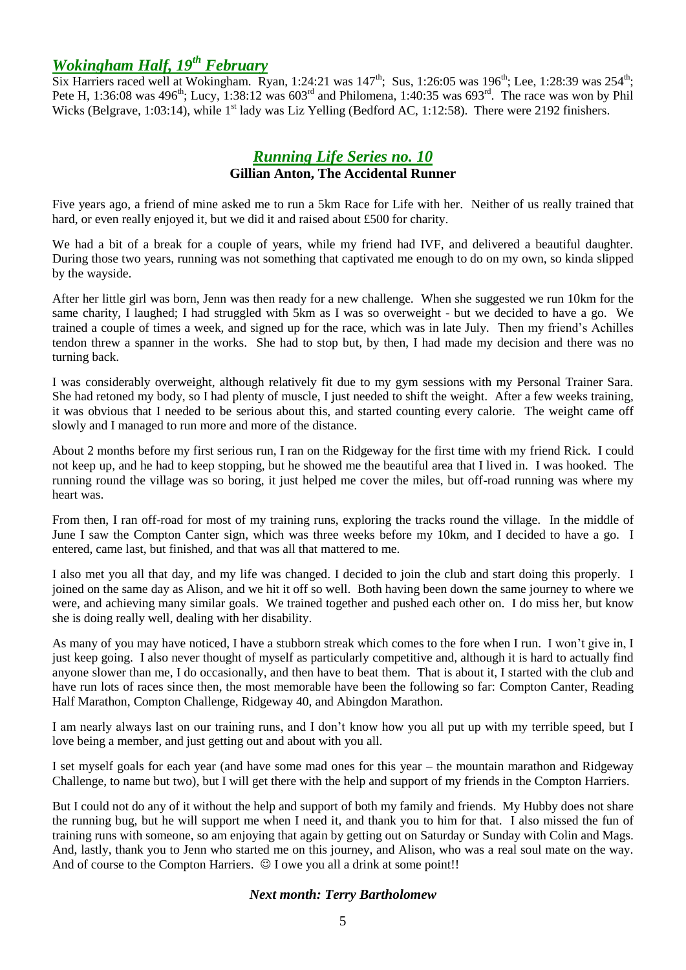# *Wokingham Half, 19th February*

Six Harriers raced well at Wokingham. Ryan, 1:24:21 was  $147<sup>th</sup>$ ; Sus, 1:26:05 was  $196<sup>th</sup>$ ; Lee, 1:28:39 was 254<sup>th</sup>; Pete H, 1:36:08 was  $496^{th}$ ; Lucy, 1:38:12 was  $603^{rd}$  and Philomena, 1:40:35 was  $693^{rd}$ . The race was won by Phil Wicks (Belgrave, 1:03:14), while  $1<sup>st</sup>$  lady was Liz Yelling (Bedford AC, 1:12:58). There were 2192 finishers.

### *Running Life Series no. 10* **Gillian Anton, The Accidental Runner**

Five years ago, a friend of mine asked me to run a 5km Race for Life with her. Neither of us really trained that hard, or even really enjoyed it, but we did it and raised about £500 for charity.

We had a bit of a break for a couple of years, while my friend had IVF, and delivered a beautiful daughter. During those two years, running was not something that captivated me enough to do on my own, so kinda slipped by the wayside.

After her little girl was born, Jenn was then ready for a new challenge. When she suggested we run 10km for the same charity, I laughed; I had struggled with 5km as I was so overweight - but we decided to have a go. We trained a couple of times a week, and signed up for the race, which was in late July. Then my friend's Achilles tendon threw a spanner in the works. She had to stop but, by then, I had made my decision and there was no turning back.

I was considerably overweight, although relatively fit due to my gym sessions with my Personal Trainer Sara. She had retoned my body, so I had plenty of muscle, I just needed to shift the weight. After a few weeks training, it was obvious that I needed to be serious about this, and started counting every calorie. The weight came off slowly and I managed to run more and more of the distance.

About 2 months before my first serious run, I ran on the Ridgeway for the first time with my friend Rick. I could not keep up, and he had to keep stopping, but he showed me the beautiful area that I lived in. I was hooked. The running round the village was so boring, it just helped me cover the miles, but off-road running was where my heart was.

From then, I ran off-road for most of my training runs, exploring the tracks round the village. In the middle of June I saw the Compton Canter sign, which was three weeks before my 10km, and I decided to have a go. I entered, came last, but finished, and that was all that mattered to me.

I also met you all that day, and my life was changed. I decided to join the club and start doing this properly. I joined on the same day as Alison, and we hit it off so well. Both having been down the same journey to where we were, and achieving many similar goals. We trained together and pushed each other on. I do miss her, but know she is doing really well, dealing with her disability.

As many of you may have noticed, I have a stubborn streak which comes to the fore when I run. I won't give in, I just keep going. I also never thought of myself as particularly competitive and, although it is hard to actually find anyone slower than me, I do occasionally, and then have to beat them. That is about it, I started with the club and have run lots of races since then, the most memorable have been the following so far: Compton Canter, Reading Half Marathon, Compton Challenge, Ridgeway 40, and Abingdon Marathon.

I am nearly always last on our training runs, and I don't know how you all put up with my terrible speed, but I love being a member, and just getting out and about with you all.

I set myself goals for each year (and have some mad ones for this year – the mountain marathon and Ridgeway Challenge, to name but two), but I will get there with the help and support of my friends in the Compton Harriers.

But I could not do any of it without the help and support of both my family and friends. My Hubby does not share the running bug, but he will support me when I need it, and thank you to him for that. I also missed the fun of training runs with someone, so am enjoying that again by getting out on Saturday or Sunday with Colin and Mags. And, lastly, thank you to Jenn who started me on this journey, and Alison, who was a real soul mate on the way. And of course to the Compton Harriers.  $\mathcal{O}$  I owe you all a drink at some point!!

### *Next month: Terry Bartholomew*